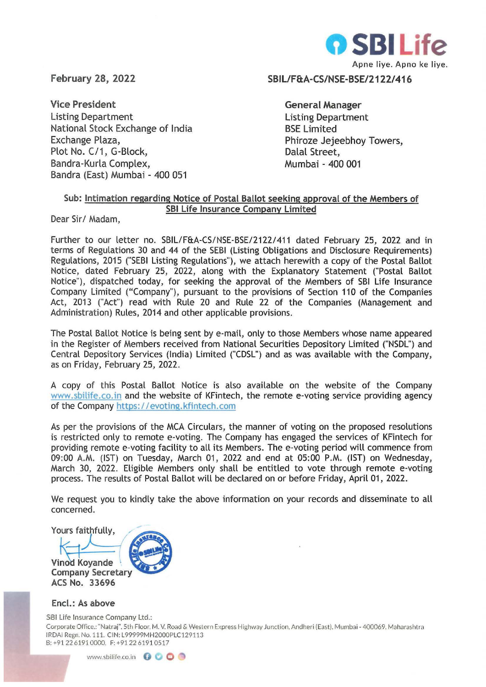

February 28, 2022

Vice President Listing Department National Stock Exchange of India Exchange Plaza, Plot No. C/1, G-Block, Bandra-Kurla Complex, Sandra (East) Mumbai - 400 051

SBIL/F&A-CS/NSE·BSE/2122/416

General Manager Listing Department BSE Limited Phiroze Jejeebhoy Towers, Dalal Street, Mumbai - 400 001

## Sub: Intimation regarding Notice of Postal Ballot seeking approval of the Members of SBI Life Insurance Company Limited

Dear Sir/ Madam,

Further to our letter no. SBIL/F&A-CS/NSE-BSE/21221411 dated February 25, 2022 and in terms of Regulations 30 and 44 of the SEBI (Listing Obligations and Disclosure Requirements) Regulations, 2015 ("SEBI Listing Regulations"), we attach herewith a copy of the Postal Ballot Notice, dated February 25, 2022, along with the Explanatory Statement ("Postal Ballot Notice"), dispatched today, for seeking the approval of the Members of SBI Life Insurance Company Limited ("Company"), pursuant to the provisions of Section 110 of the Companies Act, 2013 ("Act") read with Rule 20 and Rule 22 of the Companies (Management and Administration) Rules, 2014 and other applicable provisions.

The Postal Ballot Notice is being sent by e-mail, only to those Members whose name appeared in the Register of Members received from National Securities Depository Limited ("NSDL") and Central Depository Services (India) Limited ("CDSL") and as was available with the Company, as on Friday, February 25, 2022.

A copy of this Postal Ballot Notice is also available on the website of the Company www.sbilife.co.in and the website of KFintech, the remote e-voting service providing agency of the Company https://evoting.kfintech.com

As per the provisions of the MCA Circulars, the manner of voting on the proposed resolutions is restricted only to remote e-voting. The Company has engaged the services of KFintech for providing remote e-voting facility to all its Members. The e-voting period will commence from 09:00 A.M. (IST) on Tuesday, March 01, 2022 and end at 05:00 P.M. (IST) on Wednesday, March 30, 2022. Eligible Members only shall be entitled to vote through remote e-voting process. The results of Postal Ballot will be declared on or before Friday, April 01 , 2022.

We request you to kindly take the above information on your records and disseminate to all concerned.

Yours faithfully,

Vinod Koyande Company Secretary ACS No. 33696

## Encl.: As above

581 Life Insurance Company Ltd.:

Corporate Office.: "Natraj". 5th Floor. M. V. Road & Western Express Highway Jur.ction, Andheri (East). Mumbai - 400069. Maharashtra IRDAi Regn. No. 111. CIN: L99999MH2000PLC129113 8: +91 2261910000. F: +912261910517

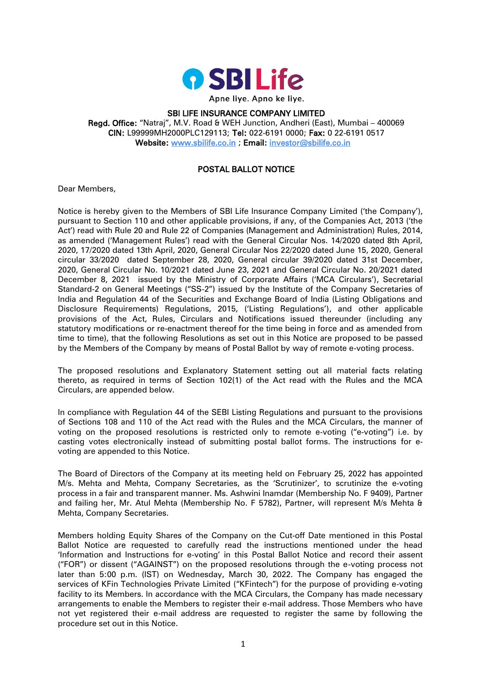

## SBI LIFE INSURANCE COMPANY LIMITED Regd. Office: "Natraj", M.V. Road & WEH Junction, Andheri (East), Mumbai – 400069 CIN: L99999MH2000PLC129113; Tel: 022-6191 0000; Fax: 0 22-6191 0517 Website: [www.sbilife.co.in](http://www.sbilife.co.in/) ; Email: [investor@sbilife.co.in](mailto:investor@sbilife.co.in)

# POSTAL BALLOT NOTICE

Dear Members,

Notice is hereby given to the Members of SBI Life Insurance Company Limited ('the Company'), pursuant to Section 110 and other applicable provisions, if any, of the Companies Act, 2013 ('the Act') read with Rule 20 and Rule 22 of Companies (Management and Administration) Rules, 2014, as amended ('Management Rules') read with the General Circular Nos. 14/2020 dated 8th April, 2020, 17/2020 dated 13th April, 2020, General Circular Nos 22/2020 dated June 15, 2020, General circular 33/2020 dated September 28, 2020, General circular 39/2020 dated 31st December, 2020, General Circular No. 10/2021 dated June 23, 2021 and General Circular No. 20/2021 dated December 8, 2021 issued by the Ministry of Corporate Affairs ('MCA Circulars'), Secretarial Standard-2 on General Meetings ("SS-2") issued by the Institute of the Company Secretaries of India and Regulation 44 of the Securities and Exchange Board of India (Listing Obligations and Disclosure Requirements) Regulations, 2015, ('Listing Regulations'), and other applicable provisions of the Act, Rules, Circulars and Notifications issued thereunder (including any statutory modifications or re-enactment thereof for the time being in force and as amended from time to time), that the following Resolutions as set out in this Notice are proposed to be passed by the Members of the Company by means of Postal Ballot by way of remote e-voting process.

The proposed resolutions and Explanatory Statement setting out all material facts relating thereto, as required in terms of Section 102(1) of the Act read with the Rules and the MCA Circulars, are appended below.

In compliance with Regulation 44 of the SEBI Listing Regulations and pursuant to the provisions of Sections 108 and 110 of the Act read with the Rules and the MCA Circulars, the manner of voting on the proposed resolutions is restricted only to remote e-voting ("e-voting") i.e. by casting votes electronically instead of submitting postal ballot forms. The instructions for evoting are appended to this Notice.

The Board of Directors of the Company at its meeting held on February 25, 2022 has appointed M/s. Mehta and Mehta, Company Secretaries, as the 'Scrutinizer', to scrutinize the e-voting process in a fair and transparent manner. Ms. Ashwini Inamdar (Membership No. F 9409), Partner and failing her, Mr. Atul Mehta (Membership No. F 5782), Partner, will represent M/s Mehta & Mehta, Company Secretaries.

Members holding Equity Shares of the Company on the Cut-off Date mentioned in this Postal Ballot Notice are requested to carefully read the instructions mentioned under the head 'Information and Instructions for e-voting' in this Postal Ballot Notice and record their assent ("FOR") or dissent ("AGAINST") on the proposed resolutions through the e-voting process not later than 5:00 p.m. (IST) on Wednesday, March 30, 2022. The Company has engaged the services of KFin Technologies Private Limited ("KFintech") for the purpose of providing e-voting facility to its Members. In accordance with the MCA Circulars, the Company has made necessary arrangements to enable the Members to register their e-mail address. Those Members who have not yet registered their e-mail address are requested to register the same by following the procedure set out in this Notice.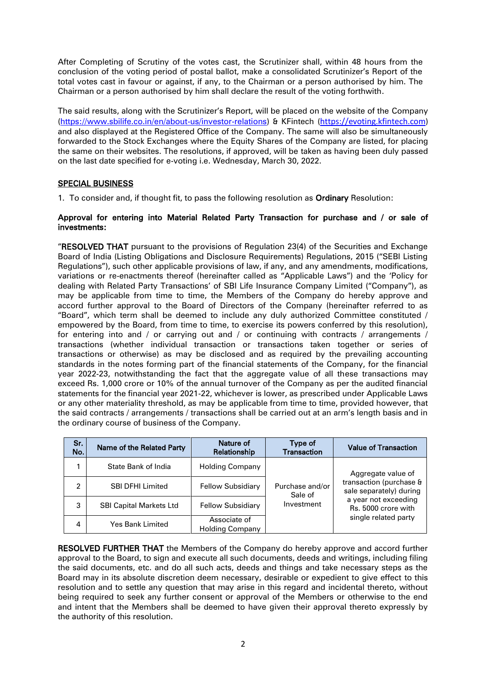After Completing of Scrutiny of the votes cast, the Scrutinizer shall, within 48 hours from the conclusion of the voting period of postal ballot, make a consolidated Scrutinizer's Report of the total votes cast in favour or against, if any, to the Chairman or a person authorised by him. The Chairman or a person authorised by him shall declare the result of the voting forthwith.

The said results, along with the Scrutinizer's Report, will be placed on the website of the Company [\(https://www.sbilife.co.in/en/about-us/investor-relations\)](https://www.sbilife.co.in/en/about-us/investor-relations) & KFintech (https://evoting.kfintech.com) and also displayed at the Registered Office of the Company. The same will also be simultaneously forwarded to the Stock Exchanges where the Equity Shares of the Company are listed, for placing the same on their websites. The resolutions, if approved, will be taken as having been duly passed on the last date specified for e-voting i.e. Wednesday, March 30, 2022.

## SPECIAL BUSINESS

1. To consider and, if thought fit, to pass the following resolution as Ordinary Resolution:

### Approval for entering into Material Related Party Transaction for purchase and / or sale of investments:

"RESOLVED THAT pursuant to the provisions of Regulation 23(4) of the Securities and Exchange Board of India (Listing Obligations and Disclosure Requirements) Regulations, 2015 ("SEBI Listing Regulations"), such other applicable provisions of law, if any, and any amendments, modifications, variations or re-enactments thereof (hereinafter called as "Applicable Laws") and the 'Policy for dealing with Related Party Transactions' of SBI Life Insurance Company Limited ("Company"), as may be applicable from time to time, the Members of the Company do hereby approve and accord further approval to the Board of Directors of the Company (hereinafter referred to as "Board", which term shall be deemed to include any duly authorized Committee constituted / empowered by the Board, from time to time, to exercise its powers conferred by this resolution), for entering into and / or carrying out and / or continuing with contracts / arrangements / transactions (whether individual transaction or transactions taken together or series of transactions or otherwise) as may be disclosed and as required by the prevailing accounting standards in the notes forming part of the financial statements of the Company, for the financial year 2022-23, notwithstanding the fact that the aggregate value of all these transactions may exceed Rs. 1,000 crore or 10% of the annual turnover of the Company as per the audited financial statements for the financial year 2021-22, whichever is lower, as prescribed under Applicable Laws or any other materiality threshold, as may be applicable from time to time, provided however, that the said contracts / arrangements / transactions shall be carried out at an arm's length basis and in the ordinary course of business of the Company.

| Sr.<br>No. | Name of the Related Party      | Nature of<br>Relationship              | Type of<br><b>Transaction</b> | <b>Value of Transaction</b>                                                                       |
|------------|--------------------------------|----------------------------------------|-------------------------------|---------------------------------------------------------------------------------------------------|
|            | State Bank of India            | Holding Company                        |                               | Aggregate value of                                                                                |
| 2          | <b>SBI DFHI Limited</b>        | <b>Fellow Subsidiary</b>               | Purchase and/or<br>Sale of    | transaction (purchase &<br>sale separately) during<br>a year not exceeding<br>Rs. 5000 crore with |
| 3          | <b>SBI Capital Markets Ltd</b> | <b>Fellow Subsidiary</b>               | Investment                    |                                                                                                   |
| 4          | <b>Yes Bank Limited</b>        | Associate of<br><b>Holding Company</b> |                               | single related party                                                                              |

RESOLVED FURTHER THAT the Members of the Company do hereby approve and accord further approval to the Board, to sign and execute all such documents, deeds and writings, including filing the said documents, etc. and do all such acts, deeds and things and take necessary steps as the Board may in its absolute discretion deem necessary, desirable or expedient to give effect to this resolution and to settle any question that may arise in this regard and incidental thereto, without being required to seek any further consent or approval of the Members or otherwise to the end and intent that the Members shall be deemed to have given their approval thereto expressly by the authority of this resolution.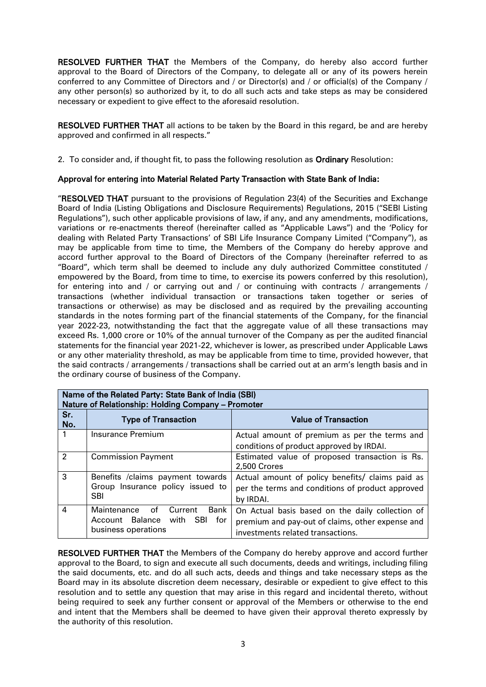**RESOLVED FURTHER THAT** the Members of the Company, do hereby also accord further approval to the Board of Directors of the Company, to delegate all or any of its powers herein conferred to any Committee of Directors and / or Director(s) and / or official(s) of the Company / any other person(s) so authorized by it, to do all such acts and take steps as may be considered necessary or expedient to give effect to the aforesaid resolution.

**RESOLVED FURTHER THAT** all actions to be taken by the Board in this regard, be and are hereby approved and confirmed in all respects."

2. To consider and, if thought fit, to pass the following resolution as Ordinary Resolution:

## Approval for entering into Material Related Party Transaction with State Bank of India:

"RESOLVED THAT pursuant to the provisions of Regulation 23(4) of the Securities and Exchange Board of India (Listing Obligations and Disclosure Requirements) Regulations, 2015 ("SEBI Listing Regulations"), such other applicable provisions of law, if any, and any amendments, modifications, variations or re-enactments thereof (hereinafter called as "Applicable Laws") and the 'Policy for dealing with Related Party Transactions' of SBI Life Insurance Company Limited ("Company"), as may be applicable from time to time, the Members of the Company do hereby approve and accord further approval to the Board of Directors of the Company (hereinafter referred to as "Board", which term shall be deemed to include any duly authorized Committee constituted / empowered by the Board, from time to time, to exercise its powers conferred by this resolution), for entering into and / or carrying out and / or continuing with contracts / arrangements / transactions (whether individual transaction or transactions taken together or series of transactions or otherwise) as may be disclosed and as required by the prevailing accounting standards in the notes forming part of the financial statements of the Company, for the financial year 2022-23, notwithstanding the fact that the aggregate value of all these transactions may exceed Rs. 1,000 crore or 10% of the annual turnover of the Company as per the audited financial statements for the financial year 2021-22, whichever is lower, as prescribed under Applicable Laws or any other materiality threshold, as may be applicable from time to time, provided however, that the said contracts / arrangements / transactions shall be carried out at an arm's length basis and in the ordinary course of business of the Company.

| Name of the Related Party: State Bank of India (SBI)<br>Nature of Relationship: Holding Company - Promoter |                                                                                             |                                                                                                                                           |  |  |
|------------------------------------------------------------------------------------------------------------|---------------------------------------------------------------------------------------------|-------------------------------------------------------------------------------------------------------------------------------------------|--|--|
| Sr.<br>No.                                                                                                 | <b>Type of Transaction</b>                                                                  | <b>Value of Transaction</b>                                                                                                               |  |  |
|                                                                                                            | Insurance Premium                                                                           | Actual amount of premium as per the terms and<br>conditions of product approved by IRDAI.                                                 |  |  |
| $\overline{\mathbf{c}}$                                                                                    | <b>Commission Payment</b>                                                                   | Estimated value of proposed transaction is Rs.<br>2,500 Crores                                                                            |  |  |
| 3                                                                                                          | Benefits / claims payment towards<br>Group Insurance policy issued to<br><b>SBI</b>         | Actual amount of policy benefits/ claims paid as<br>per the terms and conditions of product approved<br>by IRDAI.                         |  |  |
| 4                                                                                                          | Maintenance<br>of<br>Bank<br>Current<br>Account Balance with SBI for<br>business operations | On Actual basis based on the daily collection of<br>premium and pay-out of claims, other expense and<br>investments related transactions. |  |  |

RESOLVED FURTHER THAT the Members of the Company do hereby approve and accord further approval to the Board, to sign and execute all such documents, deeds and writings, including filing the said documents, etc. and do all such acts, deeds and things and take necessary steps as the Board may in its absolute discretion deem necessary, desirable or expedient to give effect to this resolution and to settle any question that may arise in this regard and incidental thereto, without being required to seek any further consent or approval of the Members or otherwise to the end and intent that the Members shall be deemed to have given their approval thereto expressly by the authority of this resolution.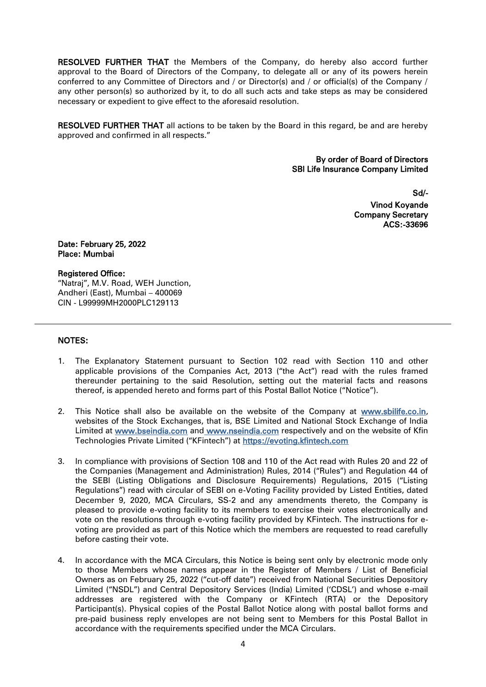**RESOLVED FURTHER THAT** the Members of the Company, do hereby also accord further approval to the Board of Directors of the Company, to delegate all or any of its powers herein conferred to any Committee of Directors and / or Director(s) and / or official(s) of the Company / any other person(s) so authorized by it, to do all such acts and take steps as may be considered necessary or expedient to give effect to the aforesaid resolution.

**RESOLVED FURTHER THAT** all actions to be taken by the Board in this regard, be and are hereby approved and confirmed in all respects."

> By order of Board of Directors SBI Life Insurance Company Limited

> > Sd/- Vinod Koyande Company Secretary ACS:-33696

Date: February 25, 2022 Place: Mumbai

#### Registered Office:

"Natraj", M.V. Road, WEH Junction, Andheri (East), Mumbai – 400069 CIN - L99999MH2000PLC129113

#### NOTES:

- 1. The Explanatory Statement pursuant to Section 102 read with Section 110 and other applicable provisions of the Companies Act, 2013 ("the Act") read with the rules framed thereunder pertaining to the said Resolution, setting out the material facts and reasons thereof, is appended hereto and forms part of this Postal Ballot Notice ("Notice").
- 2. This Notice shall also be available on the website of the Company at www.sbilife.co.in, websites of the Stock Exchanges, that is, BSE Limited and National Stock Exchange of India Limited at [www.bseindia.com](http://www.bseindia.com/) and www.nseindia.com respectively and on the website of Kfin Technologies Private Limited ("KFintech") at [https://evoting.kfintech.com](https://evoting.kfintech.com/)
- 3. In compliance with provisions of Section 108 and 110 of the Act read with Rules 20 and 22 of the Companies (Management and Administration) Rules, 2014 ("Rules") and Regulation 44 of the SEBI (Listing Obligations and Disclosure Requirements) Regulations, 2015 ("Listing Regulations") read with circular of SEBI on e-Voting Facility provided by Listed Entities, dated December 9, 2020, MCA Circulars, SS-2 and any amendments thereto, the Company is pleased to provide e-voting facility to its members to exercise their votes electronically and vote on the resolutions through e-voting facility provided by KFintech. The instructions for evoting are provided as part of this Notice which the members are requested to read carefully before casting their vote.
- 4. In accordance with the MCA Circulars, this Notice is being sent only by electronic mode only to those Members whose names appear in the Register of Members / List of Beneficial Owners as on February 25, 2022 ("cut-off date") received from National Securities Depository Limited ("NSDL") and Central Depository Services (India) Limited ('CDSL') and whose e-mail addresses are registered with the Company or KFintech (RTA) or the Depository Participant(s). Physical copies of the Postal Ballot Notice along with postal ballot forms and pre-paid business reply envelopes are not being sent to Members for this Postal Ballot in accordance with the requirements specified under the MCA Circulars.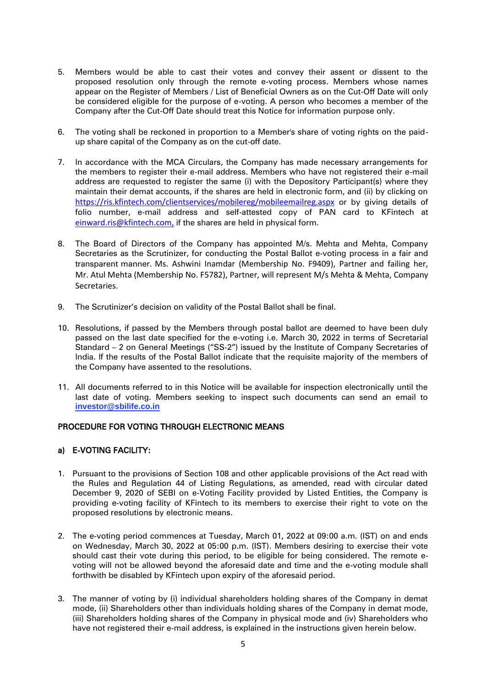- 5. Members would be able to cast their votes and convey their assent or dissent to the proposed resolution only through the remote e-voting process. Members whose names appear on the Register of Members / List of Beneficial Owners as on the Cut-Off Date will only be considered eligible for the purpose of e-voting. A person who becomes a member of the Company after the Cut-Off Date should treat this Notice for information purpose only.
- 6. The voting shall be reckoned in proportion to a Member's share of voting rights on the paidup share capital of the Company as on the cut-off date.
- 7. In accordance with the MCA Circulars, the Company has made necessary arrangements for the members to register their e-mail address. Members who have not registered their e-mail address are requested to register the same (i) with the Depository Participant(s) where they maintain their demat accounts, if the shares are held in electronic form, and (ii) by clicking on https://ris.kfintech.com/clientservices/mobilereg/mobileemailreg.aspx or by giving details of folio number, e-mail address and self-attested copy of PAN card to KFintech at einward.ris@kfintech.com, if the shares are held in physical form.
- 8. The Board of Directors of the Company has appointed M/s. Mehta and Mehta, Company Secretaries as the Scrutinizer, for conducting the Postal Ballot e-voting process in a fair and transparent manner. Ms. Ashwini Inamdar (Membership No. F9409), Partner and failing her, Mr. Atul Mehta (Membership No. F5782), Partner, will represent M/s Mehta & Mehta, Company Secretaries.
- 9. The Scrutinizer's decision on validity of the Postal Ballot shall be final.
- 10. Resolutions, if passed by the Members through postal ballot are deemed to have been duly passed on the last date specified for the e-voting i.e. March 30, 2022 in terms of Secretarial Standard – 2 on General Meetings ("SS-2") issued by the Institute of Company Secretaries of India. If the results of the Postal Ballot indicate that the requisite majority of the members of the Company have assented to the resolutions.
- 11. All documents referred to in this Notice will be available for inspection electronically until the last date of voting. Members seeking to inspect such documents can send an email to **investor@sbilife.co.in**

## PROCEDURE FOR VOTING THROUGH ELECTRONIC MEANS

## a) E-VOTING FACILITY:

- 1. Pursuant to the provisions of Section 108 and other applicable provisions of the Act read with the Rules and Regulation 44 of Listing Regulations, as amended, read with circular dated December 9, 2020 of SEBI on e-Voting Facility provided by Listed Entities, the Company is providing e-voting facility of KFintech to its members to exercise their right to vote on the proposed resolutions by electronic means.
- 2. The e-voting period commences at Tuesday, March 01, 2022 at 09:00 a.m. (IST) on and ends on Wednesday, March 30, 2022 at 05:00 p.m. (IST). Members desiring to exercise their vote should cast their vote during this period, to be eligible for being considered. The remote evoting will not be allowed beyond the aforesaid date and time and the e-voting module shall forthwith be disabled by KFintech upon expiry of the aforesaid period.
- 3. The manner of voting by (i) individual shareholders holding shares of the Company in demat mode, (ii) Shareholders other than individuals holding shares of the Company in demat mode, (iii) Shareholders holding shares of the Company in physical mode and (iv) Shareholders who have not registered their e-mail address, is explained in the instructions given herein below.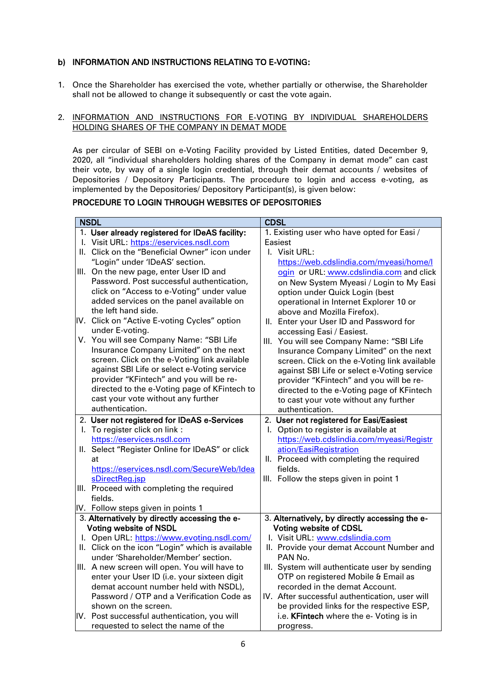## b) INFORMATION AND INSTRUCTIONS RELATING TO E-VOTING:

1. Once the Shareholder has exercised the vote, whether partially or otherwise, the Shareholder shall not be allowed to change it subsequently or cast the vote again.

#### 2. INFORMATION AND INSTRUCTIONS FOR E-VOTING BY INDIVIDUAL SHAREHOLDERS HOLDING SHARES OF THE COMPANY IN DEMAT MODE

As per circular of SEBI on e-Voting Facility provided by Listed Entities, dated December 9, 2020, all "individual shareholders holding shares of the Company in demat mode" can cast their vote, by way of a single login credential, through their demat accounts / websites of Depositories / Depository Participants. The procedure to login and access e-voting, as implemented by the Depositories/ Depository Participant(s), is given below:

## PROCEDURE TO LOGIN THROUGH WEBSITES OF DEPOSITORIES

| <b>NSDL</b>                                      | <b>CDSL</b>                                    |  |  |
|--------------------------------------------------|------------------------------------------------|--|--|
| 1. User already registered for IDeAS facility:   | 1. Existing user who have opted for Easi /     |  |  |
| I. Visit URL: https://eservices.nsdl.com         | Easiest                                        |  |  |
| II. Click on the "Beneficial Owner" icon under   | I. Visit URL:                                  |  |  |
| "Login" under 'IDeAS' section.                   | https://web.cdslindia.com/myeasi/home/l        |  |  |
| III. On the new page, enter User ID and          | ogin or URL: www.cdslindia.com and click       |  |  |
| Password. Post successful authentication,        | on New System Myeasi / Login to My Easi        |  |  |
| click on "Access to e-Voting" under value        | option under Quick Login (best                 |  |  |
| added services on the panel available on         | operational in Internet Explorer 10 or         |  |  |
| the left hand side.                              | above and Mozilla Firefox).                    |  |  |
| IV. Click on "Active E-voting Cycles" option     | II. Enter your User ID and Password for        |  |  |
| under E-voting.                                  | accessing Easi / Easiest.                      |  |  |
| V. You will see Company Name: "SBI Life          | III. You will see Company Name: "SBI Life      |  |  |
| Insurance Company Limited" on the next           | Insurance Company Limited" on the next         |  |  |
| screen. Click on the e-Voting link available     | screen. Click on the e-Voting link available   |  |  |
| against SBI Life or select e-Voting service      | against SBI Life or select e-Voting service    |  |  |
| provider "KFintech" and you will be re-          | provider "KFintech" and you will be re-        |  |  |
| directed to the e-Voting page of KFintech to     | directed to the e-Voting page of KFintech      |  |  |
| cast your vote without any further               | to cast your vote without any further          |  |  |
| authentication.                                  | authentication.                                |  |  |
| 2. User not registered for IDeAS e-Services      | 2. User not registered for Easi/Easiest        |  |  |
| I. To register click on link :                   | I. Option to register is available at          |  |  |
| https://eservices.nsdl.com                       | https://web.cdslindia.com/myeasi/Registr       |  |  |
| II. Select "Register Online for IDeAS" or click  | ation/EasiRegistration                         |  |  |
| at                                               | II. Proceed with completing the required       |  |  |
| https://eservices.nsdl.com/SecureWeb/Idea        | fields.                                        |  |  |
| sDirectReg.jsp                                   | III. Follow the steps given in point 1         |  |  |
| III. Proceed with completing the required        |                                                |  |  |
| fields.                                          |                                                |  |  |
| IV. Follow steps given in points 1               |                                                |  |  |
| 3. Alternatively by directly accessing the e-    | 3. Alternatively, by directly accessing the e- |  |  |
| <b>Voting website of NSDL</b>                    | <b>Voting website of CDSL</b>                  |  |  |
| I. Open URL: https://www.evoting.nsdl.com/       | I. Visit URL: www.cdslindia.com                |  |  |
| II. Click on the icon "Login" which is available | II. Provide your demat Account Number and      |  |  |
| under 'Shareholder/Member' section.              | PAN No.                                        |  |  |
| III. A new screen will open. You will have to    | III. System will authenticate user by sending  |  |  |
| enter your User ID (i.e. your sixteen digit      | OTP on registered Mobile & Email as            |  |  |
| demat account number held with NSDL),            | recorded in the demat Account.                 |  |  |
| Password / OTP and a Verification Code as        | IV. After successful authentication, user will |  |  |
| shown on the screen.                             | be provided links for the respective ESP,      |  |  |
| IV. Post successful authentication, you will     | i.e. KFintech where the e- Voting is in        |  |  |
| requested to select the name of the              | progress.                                      |  |  |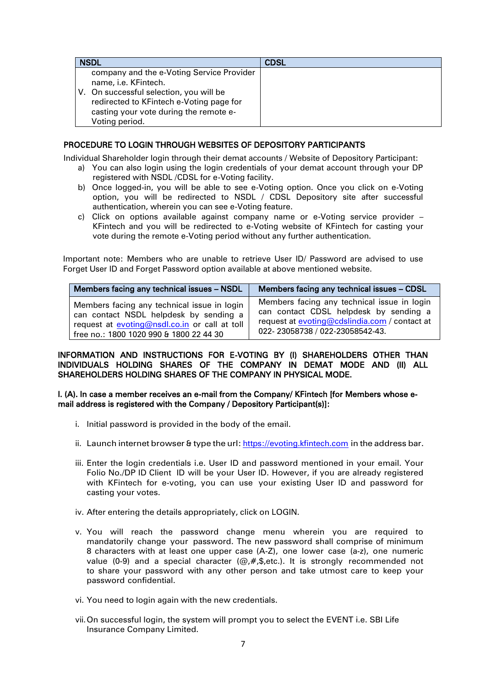| <b>NSDL</b>                                                                                                                                                                                                          | <b>CDSL</b> |
|----------------------------------------------------------------------------------------------------------------------------------------------------------------------------------------------------------------------|-------------|
| company and the e-Voting Service Provider<br>name, i.e. KFintech.<br>V. On successful selection, you will be<br>redirected to KFintech e-Voting page for<br>casting your vote during the remote e-<br>Voting period. |             |

## PROCEDURE TO LOGIN THROUGH WEBSITES OF DEPOSITORY PARTICIPANTS

Individual Shareholder login through their demat accounts / Website of Depository Participant:

- a) You can also login using the login credentials of your demat account through your DP registered with NSDL /CDSL for e-Voting facility.
- b) Once logged-in, you will be able to see e-Voting option. Once you click on e-Voting option, you will be redirected to NSDL / CDSL Depository site after successful authentication, wherein you can see e-Voting feature.
- c) Click on options available against company name or e-Voting service provider KFintech and you will be redirected to e-Voting website of KFintech for casting your vote during the remote e-Voting period without any further authentication.

Important note: Members who are unable to retrieve User ID/ Password are advised to use Forget User ID and Forget Password option available at above mentioned website.

| Members facing any technical issues - NSDL    | Members facing any technical issues - CDSL           |
|-----------------------------------------------|------------------------------------------------------|
| Members facing any technical issue in login   | Members facing any technical issue in login          |
| can contact NSDL helpdesk by sending a        | can contact CDSL helpdesk by sending a               |
| request at evoting@nsdl.co.in or call at toll | request at <b>evoting@cdslindia.com</b> / contact at |
| free no.: 1800 1020 990 & 1800 22 44 30       | 022-23058738 / 022-23058542-43.                      |

### INFORMATION AND INSTRUCTIONS FOR E-VOTING BY (I) SHAREHOLDERS OTHER THAN INDIVIDUALS HOLDING SHARES OF THE COMPANY IN DEMAT MODE AND (II) ALL SHAREHOLDERS HOLDING SHARES OF THE COMPANY IN PHYSICAL MODE.

#### I. (A). In case a member receives an e-mail from the Company/ KFintech [for Members whose email address is registered with the Company / Depository Participant(s)]:

- i. Initial password is provided in the body of the email.
- ii. Launch internet browser & type the url: https://evoting.kfintech.com in the address bar.
- iii. Enter the login credentials i.e. User ID and password mentioned in your email. Your Folio No./DP ID Client ID will be your User ID. However, if you are already registered with KFintech for e-voting, you can use your existing User ID and password for casting your votes.
- iv. After entering the details appropriately, click on LOGIN.
- v. You will reach the password change menu wherein you are required to mandatorily change your password. The new password shall comprise of minimum 8 characters with at least one upper case (A-Z), one lower case (a-z), one numeric value (0-9) and a special character  $(\mathcal{Q}, \#, \mathsf{S}, \text{etc.})$ . It is strongly recommended not to share your password with any other person and take utmost care to keep your password confidential.
- vi. You need to login again with the new credentials.
- vii.On successful login, the system will prompt you to select the EVENT i.e. SBI Life Insurance Company Limited.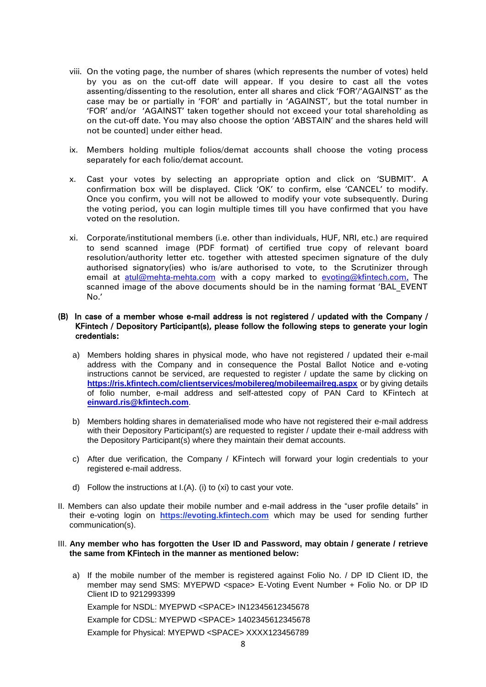- viii. On the voting page, the number of shares (which represents the number of votes) held by you as on the cut-off date will appear. If you desire to cast all the votes assenting/dissenting to the resolution, enter all shares and click 'FOR'/'AGAINST' as the case may be or partially in 'FOR' and partially in 'AGAINST', but the total number in 'FOR' and/or 'AGAINST' taken together should not exceed your total shareholding as on the cut-off date. You may also choose the option 'ABSTAIN' and the shares held will not be counted] under either head.
- ix. Members holding multiple folios/demat accounts shall choose the voting process separately for each folio/demat account.
- x. Cast your votes by selecting an appropriate option and click on 'SUBMIT'. A confirmation box will be displayed. Click 'OK' to confirm, else 'CANCEL' to modify. Once you confirm, you will not be allowed to modify your vote subsequently. During the voting period, you can login multiple times till you have confirmed that you have voted on the resolution.
- xi. Corporate/institutional members (i.e. other than individuals, HUF, NRI, etc.) are required to send scanned image (PDF format) of certified true copy of relevant board resolution/authority letter etc. together with attested specimen signature of the duly authorised signatory(ies) who is/are authorised to vote, to the Scrutinizer through email at atul@mehta-mehta.com with a copy marked to [evoting@kfintech.com.](mailto:evoting@kfintech.com) The scanned image of the above documents should be in the naming format 'BAL\_EVENT No.'

#### (B) In case of a member whose e-mail address is not registered / updated with the Company / KFintech / Depository Participant(s), please follow the following steps to generate your login credentials:

- a) Members holding shares in physical mode, who have not registered / updated their e-mail address with the Company and in consequence the Postal Ballot Notice and e-voting instructions cannot be serviced, are requested to register / update the same by clicking on **<https://ris.kfintech.com/clientservices/mobilereg/mobileemailreg.aspx>** or by giving details of folio number, e-mail address and self-attested copy of PAN Card to KFintech at **[einward.ris@kfintech.com](mailto:einward.ris@kfintech.com)**.
- b) Members holding shares in dematerialised mode who have not registered their e-mail address with their Depository Participant(s) are requested to register / update their e-mail address with the Depository Participant(s) where they maintain their demat accounts.
- c) After due verification, the Company / KFintech will forward your login credentials to your registered e-mail address.
- d) Follow the instructions at I.(A). (i) to (xi) to cast your vote.
- II. Members can also update their mobile number and e-mail address in the "user profile details" in their e-voting login on **https://evoting.kfintech.com** which may be used for sending further communication(s).

#### III. **Any member who has forgotten the User ID and Password, may obtain / generate / retrieve the same from** KFintech **in the manner as mentioned below:**

a) If the mobile number of the member is registered against Folio No. / DP ID Client ID, the member may send SMS: MYEPWD <space> E-Voting Event Number + Folio No. or DP ID Client ID to 9212993399

Example for NSDL: MYEPWD <SPACE> IN12345612345678

Example for CDSL: MYEPWD <SPACE> 1402345612345678

Example for Physical: MYEPWD <SPACE> XXXX123456789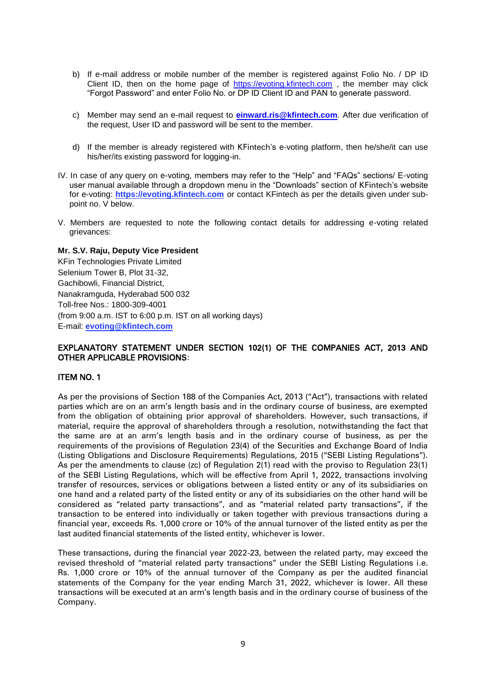- b) If e-mail address or mobile number of the member is registered against Folio No. / DP ID Client ID, then on the home page of [https://evoting.kfintech.com](https://evoting.kfintech.com/), the member may click "Forgot Password" and enter Folio No. or DP ID Client ID and PAN to generate password.
- c) Member may send an e-mail request to **[einward.ris@kfintech.com](mailto:einward.ris@kfintech.com)**. After due verification of the request, User ID and password will be sent to the member.
- d) If the member is already registered with KFintech's e-voting platform, then he/she/it can use his/her/its existing password for logging-in.
- IV. In case of any query on e-voting, members may refer to the "Help" and "FAQs" sections/ E-voting user manual available through a dropdown menu in the "Downloads" section of KFintech's website for e-voting: **https://evoting.kfintech.com** or contact KFintech as per the details given under subpoint no. V below.
- V. Members are requested to note the following contact details for addressing e-voting related grievances:

#### **Mr. S.V. Raju, Deputy Vice President**

KFin Technologies Private Limited Selenium Tower B, Plot 31-32, Gachibowli, Financial District, Nanakramguda, Hyderabad 500 032 Toll-free Nos.: 1800-309-4001 (from 9:00 a.m. IST to 6:00 p.m. IST on all working days) E-mail: **evoting@kfintech.com**

## EXPLANATORY STATEMENT UNDER SECTION 102(1) OF THE COMPANIES ACT, 2013 AND OTHER APPLICABLE PROVISIONS:

#### ITEM NO. 1

As per the provisions of Section 188 of the Companies Act, 2013 ("Act"), transactions with related parties which are on an arm's length basis and in the ordinary course of business, are exempted from the obligation of obtaining prior approval of shareholders. However, such transactions, if material, require the approval of shareholders through a resolution, notwithstanding the fact that the same are at an arm's length basis and in the ordinary course of business, as per the requirements of the provisions of Regulation 23(4) of the Securities and Exchange Board of India (Listing Obligations and Disclosure Requirements) Regulations, 2015 ("SEBI Listing Regulations"). As per the amendments to clause (zc) of Regulation 2(1) read with the proviso to Regulation 23(1) of the SEBI Listing Regulations, which will be effective from April 1, 2022, transactions involving transfer of resources, services or obligations between a listed entity or any of its subsidiaries on one hand and a related party of the listed entity or any of its subsidiaries on the other hand will be considered as "related party transactions", and as "material related party transactions", if the transaction to be entered into individually or taken together with previous transactions during a financial year, exceeds Rs. 1,000 crore or 10% of the annual turnover of the listed entity as per the last audited financial statements of the listed entity, whichever is lower.

These transactions, during the financial year 2022-23, between the related party, may exceed the revised threshold of "material related party transactions" under the SEBI Listing Regulations i.e. Rs. 1,000 crore or 10% of the annual turnover of the Company as per the audited financial statements of the Company for the year ending March 31, 2022, whichever is lower. All these transactions will be executed at an arm's length basis and in the ordinary course of business of the Company.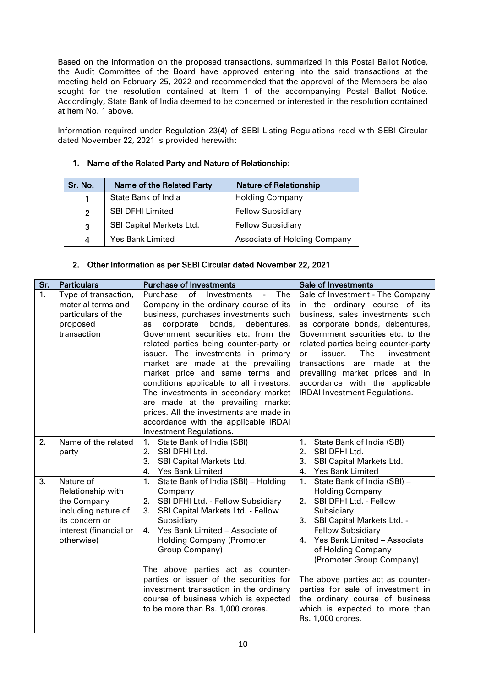Based on the information on the proposed transactions, summarized in this Postal Ballot Notice, the Audit Committee of the Board have approved entering into the said transactions at the meeting held on February 25, 2022 and recommended that the approval of the Members be also sought for the resolution contained at Item 1 of the accompanying Postal Ballot Notice. Accordingly, State Bank of India deemed to be concerned or interested in the resolution contained at Item No. 1 above.

Information required under Regulation 23(4) of SEBI Listing Regulations read with SEBI Circular dated November 22, 2021 is provided herewith:

| Sr. No.<br><b>Name of the Related Party</b> |                                 | <b>Nature of Relationship</b> |  |
|---------------------------------------------|---------------------------------|-------------------------------|--|
| State Bank of India                         |                                 | <b>Holding Company</b>        |  |
| 2                                           | <b>SBI DFHI Limited</b>         | <b>Fellow Subsidiary</b>      |  |
| 3                                           | <b>SBI Capital Markets Ltd.</b> | <b>Fellow Subsidiary</b>      |  |
| 4                                           | Yes Bank Limited                | Associate of Holding Company  |  |

## 1. Name of the Related Party and Nature of Relationship:

### 2. Other Information as per SEBI Circular dated November 22, 2021

| Sr. | <b>Particulars</b>                                                                                                             | <b>Purchase of Investments</b>                                                                                                                                                                                                                                                                                                                                                                                                                                                                                                                                                                                         | <b>Sale of Investments</b>                                                                                                                                                                                                                                                                                                                                                                                                            |
|-----|--------------------------------------------------------------------------------------------------------------------------------|------------------------------------------------------------------------------------------------------------------------------------------------------------------------------------------------------------------------------------------------------------------------------------------------------------------------------------------------------------------------------------------------------------------------------------------------------------------------------------------------------------------------------------------------------------------------------------------------------------------------|---------------------------------------------------------------------------------------------------------------------------------------------------------------------------------------------------------------------------------------------------------------------------------------------------------------------------------------------------------------------------------------------------------------------------------------|
| 1.  | Type of transaction,<br>material terms and<br>particulars of the<br>proposed<br>transaction                                    | Purchase<br>of<br>Investments<br>The<br>$\frac{1}{2}$<br>Company in the ordinary course of its<br>business, purchases investments such<br>bonds,<br>debentures,<br>corporate<br>as<br>Government securities etc. from the<br>related parties being counter-party or<br>issuer. The investments in primary<br>market are made at the prevailing<br>market price and same terms and<br>conditions applicable to all investors.<br>The investments in secondary market<br>are made at the prevailing market<br>prices. All the investments are made in<br>accordance with the applicable IRDAI<br>Investment Regulations. | Sale of Investment - The Company<br>in the ordinary course of its<br>business, sales investments such<br>as corporate bonds, debentures,<br>Government securities etc. to the<br>related parties being counter-party<br>The<br>issuer.<br>investment<br><b>or</b><br>transactions are made at the<br>prevailing market prices and in<br>accordance with the applicable<br><b>IRDAI</b> Investment Regulations.                        |
| 2.  | Name of the related<br>party                                                                                                   | 1.<br>State Bank of India (SBI)<br>SBI DFHI Ltd.<br>2.<br>3.<br>SBI Capital Markets Ltd.<br>4.<br><b>Yes Bank Limited</b>                                                                                                                                                                                                                                                                                                                                                                                                                                                                                              | State Bank of India (SBI)<br>1.<br>2.<br>SBI DFHI Ltd.<br>3.<br>SBI Capital Markets Ltd.<br>4.<br><b>Yes Bank Limited</b>                                                                                                                                                                                                                                                                                                             |
| 3.  | Nature of<br>Relationship with<br>the Company<br>including nature of<br>its concern or<br>interest (financial or<br>otherwise) | 1.<br>State Bank of India (SBI) - Holding<br>Company<br>SBI DFHI Ltd. - Fellow Subsidiary<br>2.<br>3.<br>SBI Capital Markets Ltd. - Fellow<br>Subsidiary<br>Yes Bank Limited - Associate of<br>4.<br><b>Holding Company (Promoter</b><br>Group Company)<br>The above parties act as counter-<br>parties or issuer of the securities for<br>investment transaction in the ordinary<br>course of business which is expected<br>to be more than Rs. 1,000 crores.                                                                                                                                                         | 1.<br>State Bank of India (SBI) -<br><b>Holding Company</b><br>SBI DFHI Ltd. - Fellow<br>2.<br>Subsidiary<br>SBI Capital Markets Ltd. -<br>3.<br><b>Fellow Subsidiary</b><br>Yes Bank Limited - Associate<br>4.<br>of Holding Company<br>(Promoter Group Company)<br>The above parties act as counter-<br>parties for sale of investment in<br>the ordinary course of business<br>which is expected to more than<br>Rs. 1,000 crores. |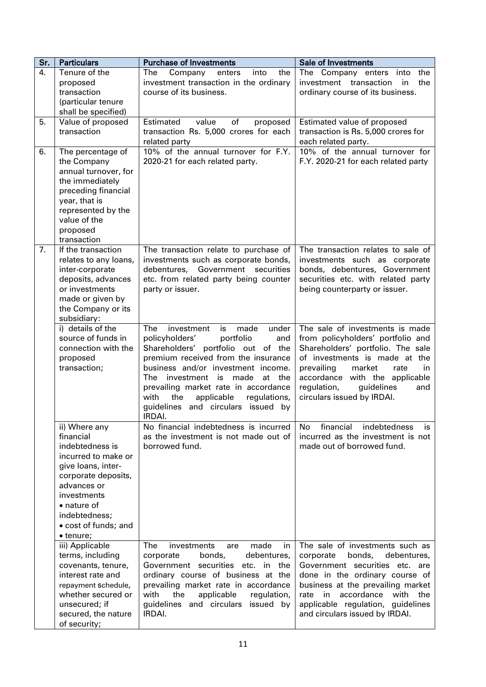| Sr. | <b>Particulars</b>                                                                                                                                                                                                   | <b>Purchase of Investments</b>                                                                                                                                                                                                                                                                                                                                                       | <b>Sale of Investments</b>                                                                                                                                                                                                                                                              |  |
|-----|----------------------------------------------------------------------------------------------------------------------------------------------------------------------------------------------------------------------|--------------------------------------------------------------------------------------------------------------------------------------------------------------------------------------------------------------------------------------------------------------------------------------------------------------------------------------------------------------------------------------|-----------------------------------------------------------------------------------------------------------------------------------------------------------------------------------------------------------------------------------------------------------------------------------------|--|
| 4.  | Tenure of the<br>proposed<br>transaction<br>(particular tenure<br>shall be specified)                                                                                                                                | Company<br>into<br>the<br>The<br>enters<br>investment transaction in the ordinary<br>course of its business.                                                                                                                                                                                                                                                                         | The Company enters into<br>the<br>investment transaction<br>the<br>in<br>ordinary course of its business.                                                                                                                                                                               |  |
| 5.  | Value of proposed<br>transaction                                                                                                                                                                                     | Estimated<br>value<br>of<br>proposed<br>transaction Rs. 5,000 crores for each<br>related party                                                                                                                                                                                                                                                                                       | Estimated value of proposed<br>transaction is Rs. 5,000 crores for<br>each related party.                                                                                                                                                                                               |  |
| 6.  | The percentage of<br>the Company<br>annual turnover, for<br>the immediately<br>preceding financial<br>year, that is<br>represented by the<br>value of the<br>proposed<br>transaction                                 | 10% of the annual turnover for F.Y.<br>2020-21 for each related party.                                                                                                                                                                                                                                                                                                               | 10% of the annual turnover for<br>F.Y. 2020-21 for each related party                                                                                                                                                                                                                   |  |
| 7.  | If the transaction<br>relates to any loans,<br>inter-corporate<br>deposits, advances<br>or investments<br>made or given by<br>the Company or its<br>subsidiary:                                                      | The transaction relate to purchase of<br>investments such as corporate bonds,<br>debentures, Government securities<br>etc. from related party being counter<br>party or issuer.                                                                                                                                                                                                      | The transaction relates to sale of<br>investments such as corporate<br>bonds, debentures, Government<br>securities etc. with related party<br>being counterparty or issuer.                                                                                                             |  |
|     | i) details of the<br>source of funds in<br>connection with the<br>proposed<br>transaction;                                                                                                                           | <b>The</b><br>investment<br>made<br>under<br>is<br>policyholders'<br>portfolio<br>and<br>Shareholders' portfolio out of the<br>premium received from the insurance<br>business and/or investment income.<br>The<br>investment is made<br>at the<br>prevailing market rate in accordance<br>with<br>applicable<br>regulations,<br>the<br>guidelines and circulars issued by<br>IRDAI. | The sale of investments is made<br>from policyholders' portfolio and<br>Shareholders' portfolio. The sale<br>of investments is made at the<br>prevailing<br>market<br>rate<br>in<br>accordance with the applicable<br>regulation,<br>guidelines<br>and<br>circulars issued by IRDAI.    |  |
|     | ii) Where any<br>financial<br>indebtedness is<br>incurred to make or<br>give loans, inter-<br>corporate deposits,<br>advances or<br>investments<br>• nature of<br>indebtedness;<br>• cost of funds; and<br>• tenure; | No financial indebtedness is incurred<br>as the investment is not made out of<br>borrowed fund.                                                                                                                                                                                                                                                                                      | financial<br>indebtedness<br>No.<br>İS.<br>incurred as the investment is not<br>made out of borrowed fund.                                                                                                                                                                              |  |
|     | iii) Applicable<br>terms, including<br>covenants, tenure,<br>interest rate and<br>repayment schedule,<br>whether secured or<br>unsecured; if<br>secured, the nature<br>of security;                                  | The<br>investments<br>made<br>in<br>are<br>corporate<br>bonds,<br>debentures,<br>Government securities<br>etc. in the<br>ordinary course of business at the<br>prevailing market rate in accordance<br>with<br>the<br>applicable<br>regulation,<br>guidelines and circulars issued by<br>IRDAI.                                                                                      | The sale of investments such as<br>corporate<br>bonds,<br>debentures,<br>Government securities etc. are<br>done in the ordinary course of<br>business at the prevailing market<br>rate in accordance<br>with the<br>applicable regulation, guidelines<br>and circulars issued by IRDAI. |  |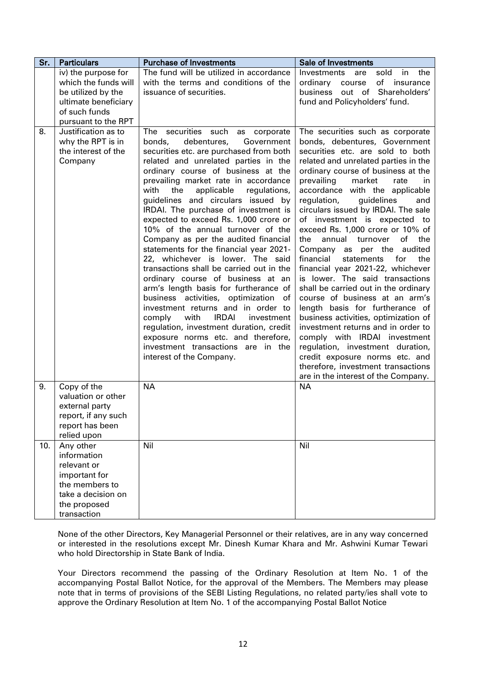| Sr. | <b>Particulars</b>                                                                                                              | <b>Purchase of Investments</b>                                                                                                                                                                                                                                                                                                                                                                                                                                                                                                                                                                                                                                                                                                                                                                                                                                                                                                                                                            | Sale of Investments                                                                                                                                                                                                                                                                                                                                                                                                                                                                                                                                                                                                                                                                                                                                                                                                                                                                                                                                                          |
|-----|---------------------------------------------------------------------------------------------------------------------------------|-------------------------------------------------------------------------------------------------------------------------------------------------------------------------------------------------------------------------------------------------------------------------------------------------------------------------------------------------------------------------------------------------------------------------------------------------------------------------------------------------------------------------------------------------------------------------------------------------------------------------------------------------------------------------------------------------------------------------------------------------------------------------------------------------------------------------------------------------------------------------------------------------------------------------------------------------------------------------------------------|------------------------------------------------------------------------------------------------------------------------------------------------------------------------------------------------------------------------------------------------------------------------------------------------------------------------------------------------------------------------------------------------------------------------------------------------------------------------------------------------------------------------------------------------------------------------------------------------------------------------------------------------------------------------------------------------------------------------------------------------------------------------------------------------------------------------------------------------------------------------------------------------------------------------------------------------------------------------------|
|     | iv) the purpose for                                                                                                             | The fund will be utilized in accordance                                                                                                                                                                                                                                                                                                                                                                                                                                                                                                                                                                                                                                                                                                                                                                                                                                                                                                                                                   | Investments<br>are<br>sold in<br>the                                                                                                                                                                                                                                                                                                                                                                                                                                                                                                                                                                                                                                                                                                                                                                                                                                                                                                                                         |
|     | which the funds will<br>be utilized by the                                                                                      | with the terms and conditions of the<br>issuance of securities.                                                                                                                                                                                                                                                                                                                                                                                                                                                                                                                                                                                                                                                                                                                                                                                                                                                                                                                           | ordinary course<br>of insurance<br>business out of Shareholders'                                                                                                                                                                                                                                                                                                                                                                                                                                                                                                                                                                                                                                                                                                                                                                                                                                                                                                             |
|     | ultimate beneficiary                                                                                                            |                                                                                                                                                                                                                                                                                                                                                                                                                                                                                                                                                                                                                                                                                                                                                                                                                                                                                                                                                                                           | fund and Policyholders' fund.                                                                                                                                                                                                                                                                                                                                                                                                                                                                                                                                                                                                                                                                                                                                                                                                                                                                                                                                                |
|     | of such funds                                                                                                                   |                                                                                                                                                                                                                                                                                                                                                                                                                                                                                                                                                                                                                                                                                                                                                                                                                                                                                                                                                                                           |                                                                                                                                                                                                                                                                                                                                                                                                                                                                                                                                                                                                                                                                                                                                                                                                                                                                                                                                                                              |
|     | pursuant to the RPT                                                                                                             |                                                                                                                                                                                                                                                                                                                                                                                                                                                                                                                                                                                                                                                                                                                                                                                                                                                                                                                                                                                           |                                                                                                                                                                                                                                                                                                                                                                                                                                                                                                                                                                                                                                                                                                                                                                                                                                                                                                                                                                              |
| 8.  | Justification as to<br>why the RPT is in<br>the interest of the<br>Company                                                      | The securities such<br>as corporate<br>debentures,<br>Government<br>bonds,<br>securities etc. are purchased from both<br>related and unrelated parties in the<br>ordinary course of business at the<br>prevailing market rate in accordance<br>with<br>applicable<br>the<br>regulations,<br>guidelines and circulars issued by<br>IRDAI. The purchase of investment is<br>expected to exceed Rs. 1,000 crore or<br>10% of the annual turnover of the<br>Company as per the audited financial<br>statements for the financial year 2021-<br>22, whichever is lower. The said<br>transactions shall be carried out in the<br>ordinary course of business at an<br>arm's length basis for furtherance of<br>business activities, optimization<br>of<br>investment returns and in order to<br><b>IRDAI</b><br>with<br>comply<br>investment<br>regulation, investment duration, credit<br>exposure norms etc. and therefore,<br>investment transactions are in the<br>interest of the Company. | The securities such as corporate<br>bonds, debentures, Government<br>securities etc. are sold to both<br>related and unrelated parties in the<br>ordinary course of business at the<br>prevailing<br>market<br>rate<br>in.<br>accordance with the applicable<br>guidelines<br>regulation,<br>and<br>circulars issued by IRDAI. The sale<br>of investment is expected to<br>exceed Rs. 1,000 crore or 10% of<br>annual turnover<br>the<br>of the<br>Company as per the audited<br>financial<br>statements<br>for<br>the<br>financial year 2021-22, whichever<br>is lower. The said transactions<br>shall be carried out in the ordinary<br>course of business at an arm's<br>length basis for furtherance of<br>business activities, optimization of<br>investment returns and in order to<br>comply with IRDAI investment<br>regulation, investment duration,<br>credit exposure norms etc. and<br>therefore, investment transactions<br>are in the interest of the Company. |
| 9.  | Copy of the<br>valuation or other<br>external party<br>report, if any such<br>report has been<br>relied upon                    | <b>NA</b>                                                                                                                                                                                                                                                                                                                                                                                                                                                                                                                                                                                                                                                                                                                                                                                                                                                                                                                                                                                 | <b>NA</b>                                                                                                                                                                                                                                                                                                                                                                                                                                                                                                                                                                                                                                                                                                                                                                                                                                                                                                                                                                    |
| 10. | Any other<br>information<br>relevant or<br>important for<br>the members to<br>take a decision on<br>the proposed<br>transaction | Nil                                                                                                                                                                                                                                                                                                                                                                                                                                                                                                                                                                                                                                                                                                                                                                                                                                                                                                                                                                                       | Nil                                                                                                                                                                                                                                                                                                                                                                                                                                                                                                                                                                                                                                                                                                                                                                                                                                                                                                                                                                          |

None of the other Directors, Key Managerial Personnel or their relatives, are in any way concerned or interested in the resolutions except Mr. Dinesh Kumar Khara and Mr. Ashwini Kumar Tewari who hold Directorship in State Bank of India.

Your Directors recommend the passing of the Ordinary Resolution at Item No. 1 of the accompanying Postal Ballot Notice, for the approval of the Members. The Members may please note that in terms of provisions of the SEBI Listing Regulations, no related party/ies shall vote to approve the Ordinary Resolution at Item No. 1 of the accompanying Postal Ballot Notice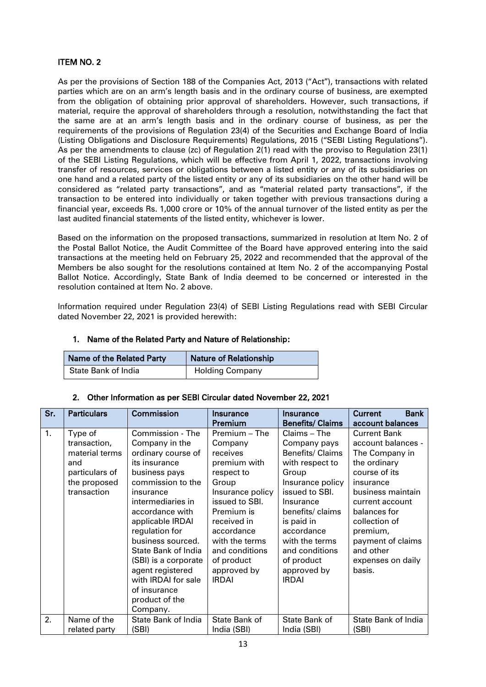## ITEM NO. 2

As per the provisions of Section 188 of the Companies Act, 2013 ("Act"), transactions with related parties which are on an arm's length basis and in the ordinary course of business, are exempted from the obligation of obtaining prior approval of shareholders. However, such transactions, if material, require the approval of shareholders through a resolution, notwithstanding the fact that the same are at an arm's length basis and in the ordinary course of business, as per the requirements of the provisions of Regulation 23(4) of the Securities and Exchange Board of India (Listing Obligations and Disclosure Requirements) Regulations, 2015 ("SEBI Listing Regulations"). As per the amendments to clause (zc) of Regulation 2(1) read with the proviso to Regulation 23(1) of the SEBI Listing Regulations, which will be effective from April 1, 2022, transactions involving transfer of resources, services or obligations between a listed entity or any of its subsidiaries on one hand and a related party of the listed entity or any of its subsidiaries on the other hand will be considered as "related party transactions", and as "material related party transactions", if the transaction to be entered into individually or taken together with previous transactions during a financial year, exceeds Rs. 1,000 crore or 10% of the annual turnover of the listed entity as per the last audited financial statements of the listed entity, whichever is lower.

Based on the information on the proposed transactions, summarized in resolution at Item No. 2 of the Postal Ballot Notice, the Audit Committee of the Board have approved entering into the said transactions at the meeting held on February 25, 2022 and recommended that the approval of the Members be also sought for the resolutions contained at Item No. 2 of the accompanying Postal Ballot Notice. Accordingly, State Bank of India deemed to be concerned or interested in the resolution contained at Item No. 2 above.

Information required under Regulation 23(4) of SEBI Listing Regulations read with SEBI Circular dated November 22, 2021 is provided herewith:

# 1. Name of the Related Party and Nature of Relationship:

| Name of the Related Party | <b>Nature of Relationship</b> |  |
|---------------------------|-------------------------------|--|
| State Bank of India       | <b>Holding Company</b>        |  |

### 2. Other Information as per SEBI Circular dated November 22, 2021

| Sr. | <b>Particulars</b>           | <b>Commission</b>                   | Insurance                    | Insurance                    | <b>Bank</b><br><b>Current</b> |
|-----|------------------------------|-------------------------------------|------------------------------|------------------------------|-------------------------------|
|     |                              |                                     | Premium                      | <b>Benefits/ Claims</b>      | account balances              |
| 1.  | Type of                      | Commission - The                    | Premium - The                | Claims - The                 | <b>Current Bank</b>           |
|     | transaction,                 | Company in the                      | Company                      | Company pays                 | account balances -            |
|     | material terms               | ordinary course of                  | receives                     | Benefits/ Claims             | The Company in                |
|     | and                          | its insurance                       | premium with                 | with respect to              | the ordinary                  |
|     | particulars of               | business pays                       | respect to                   | Group                        | course of its                 |
|     | the proposed                 | commission to the                   | Group                        | Insurance policy             | insurance                     |
|     | transaction                  | insurance                           | Insurance policy             | issued to SBI.               | business maintain             |
|     |                              | intermediaries in                   | issued to SBI.               | Insurance                    | current account               |
|     |                              | accordance with                     | Premium is                   | benefits/ claims             | balances for                  |
|     |                              | applicable IRDAI                    | received in                  | is paid in                   | collection of                 |
|     |                              | regulation for                      | accordance                   | accordance                   | premium,                      |
|     |                              | business sourced.                   | with the terms               | with the terms               | payment of claims             |
|     |                              | State Bank of India                 | and conditions               | and conditions               | and other                     |
|     |                              | (SBI) is a corporate                | of product                   | of product                   | expenses on daily             |
|     |                              | agent registered                    | approved by                  | approved by                  | basis.                        |
|     |                              | with IRDAI for sale                 | <b>IRDAI</b>                 | <b>IRDAI</b>                 |                               |
|     |                              | of insurance                        |                              |                              |                               |
|     |                              | product of the                      |                              |                              |                               |
|     |                              | Company.                            |                              |                              |                               |
| 2.  | Name of the<br>related party | <b>State Bank of India</b><br>(SBI) | State Bank of<br>India (SBI) | State Bank of<br>India (SBI) | State Bank of India<br>(SBI)  |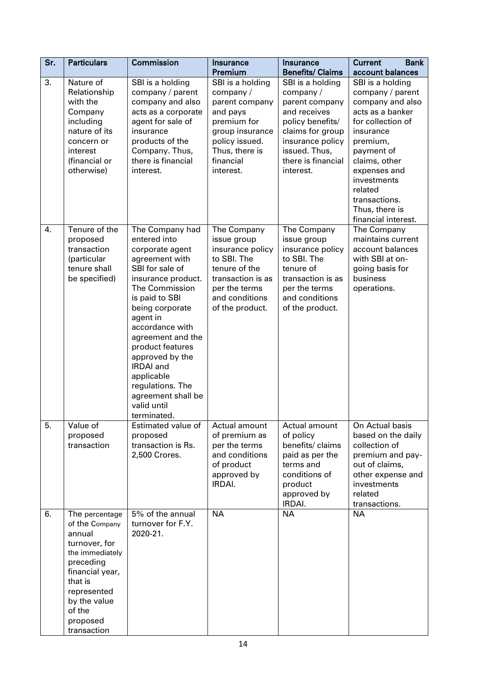| Sr. | <b>Particulars</b>                                                                                                                                                                            | Commission                                                                                                                                                                                                                                                                                                                                                                | <b>Insurance</b><br>Premium                                                                                                                                | Insurance<br><b>Benefits/ Claims</b>                                                                                                                                           | <b>Bank</b><br><b>Current</b><br>account balances                                                                                                                                                                                                             |
|-----|-----------------------------------------------------------------------------------------------------------------------------------------------------------------------------------------------|---------------------------------------------------------------------------------------------------------------------------------------------------------------------------------------------------------------------------------------------------------------------------------------------------------------------------------------------------------------------------|------------------------------------------------------------------------------------------------------------------------------------------------------------|--------------------------------------------------------------------------------------------------------------------------------------------------------------------------------|---------------------------------------------------------------------------------------------------------------------------------------------------------------------------------------------------------------------------------------------------------------|
| 3.  | Nature of<br>Relationship<br>with the<br>Company<br>including<br>nature of its<br>concern or<br>interest<br>(financial or<br>otherwise)                                                       | SBI is a holding<br>company / parent<br>company and also<br>acts as a corporate<br>agent for sale of<br>insurance<br>products of the<br>Company. Thus,<br>there is financial<br>interest.                                                                                                                                                                                 | SBI is a holding<br>company/<br>parent company<br>and pays<br>premium for<br>group insurance<br>policy issued.<br>Thus, there is<br>financial<br>interest. | SBI is a holding<br>company/<br>parent company<br>and receives<br>policy benefits/<br>claims for group<br>insurance policy<br>issued. Thus,<br>there is financial<br>interest. | SBI is a holding<br>company / parent<br>company and also<br>acts as a banker<br>for collection of<br>insurance<br>premium,<br>payment of<br>claims, other<br>expenses and<br>investments<br>related<br>transactions.<br>Thus, there is<br>financial interest. |
| 4.  | Tenure of the<br>proposed<br>transaction<br>(particular<br>tenure shall<br>be specified)                                                                                                      | The Company had<br>entered into<br>corporate agent<br>agreement with<br>SBI for sale of<br>insurance product.<br>The Commission<br>is paid to SBI<br>being corporate<br>agent in<br>accordance with<br>agreement and the<br>product features<br>approved by the<br><b>IRDAI</b> and<br>applicable<br>regulations. The<br>agreement shall be<br>valid until<br>terminated. | The Company<br>issue group<br>insurance policy<br>to SBI. The<br>tenure of the<br>transaction is as<br>per the terms<br>and conditions<br>of the product.  | The Company<br>issue group<br>insurance policy<br>to SBI. The<br>tenure of<br>transaction is as<br>per the terms<br>and conditions<br>of the product.                          | The Company<br>maintains current<br>account balances<br>with SBI at on-<br>going basis for<br>business<br>operations.                                                                                                                                         |
| 5.  | Value of<br>proposed<br>transaction                                                                                                                                                           | Estimated value of<br>proposed<br>transaction is Rs.<br>2,500 Crores.                                                                                                                                                                                                                                                                                                     | Actual amount<br>of premium as<br>per the terms<br>and conditions<br>of product<br>approved by<br>IRDAI.                                                   | Actual amount<br>of policy<br>benefits/ claims<br>paid as per the<br>terms and<br>conditions of<br>product<br>approved by<br>IRDAI.                                            | On Actual basis<br>based on the daily<br>collection of<br>premium and pay-<br>out of claims,<br>other expense and<br>investments<br>related<br>transactions.                                                                                                  |
| 6.  | The percentage<br>of the Company<br>annual<br>turnover, for<br>the immediately<br>preceding<br>financial year,<br>that is<br>represented<br>by the value<br>of the<br>proposed<br>transaction | 5% of the annual<br>turnover for F.Y.<br>2020-21.                                                                                                                                                                                                                                                                                                                         | <b>NA</b>                                                                                                                                                  | <b>NA</b>                                                                                                                                                                      | <b>NA</b>                                                                                                                                                                                                                                                     |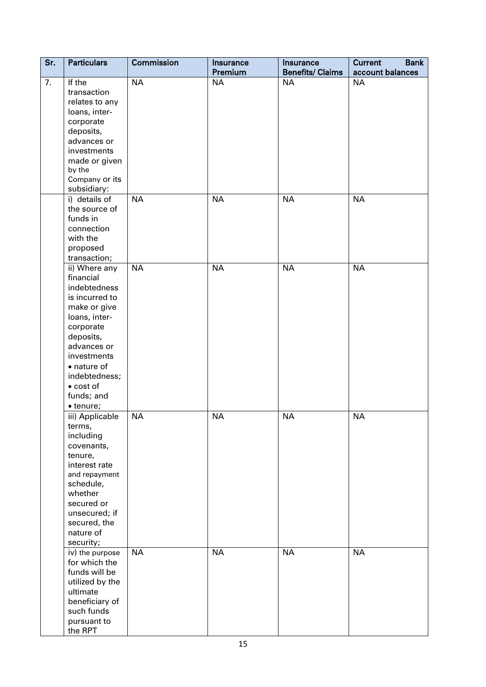| $\overline{\mathsf{Sr.}}$ | <b>Particulars</b> | Commission | Insurance<br>Premium | Insurance<br><b>Benefits/ Claims</b> | <b>Current</b><br><b>Bank</b><br>account balances |
|---------------------------|--------------------|------------|----------------------|--------------------------------------|---------------------------------------------------|
| 7.                        | If the             | <b>NA</b>  | <b>NA</b>            | <b>NA</b>                            | <b>NA</b>                                         |
|                           | transaction        |            |                      |                                      |                                                   |
|                           | relates to any     |            |                      |                                      |                                                   |
|                           | loans, inter-      |            |                      |                                      |                                                   |
|                           |                    |            |                      |                                      |                                                   |
|                           | corporate          |            |                      |                                      |                                                   |
|                           | deposits,          |            |                      |                                      |                                                   |
|                           | advances or        |            |                      |                                      |                                                   |
|                           | investments        |            |                      |                                      |                                                   |
|                           | made or given      |            |                      |                                      |                                                   |
|                           | by the             |            |                      |                                      |                                                   |
|                           | Company or its     |            |                      |                                      |                                                   |
|                           | subsidiary:        |            |                      |                                      |                                                   |
|                           | i) details of      | <b>NA</b>  | <b>NA</b>            | <b>NA</b>                            | <b>NA</b>                                         |
|                           | the source of      |            |                      |                                      |                                                   |
|                           | funds in           |            |                      |                                      |                                                   |
|                           | connection         |            |                      |                                      |                                                   |
|                           | with the           |            |                      |                                      |                                                   |
|                           | proposed           |            |                      |                                      |                                                   |
|                           | transaction;       |            |                      |                                      |                                                   |
|                           | ii) Where any      | <b>NA</b>  | <b>NA</b>            | <b>NA</b>                            | <b>NA</b>                                         |
|                           | financial          |            |                      |                                      |                                                   |
|                           | indebtedness       |            |                      |                                      |                                                   |
|                           | is incurred to     |            |                      |                                      |                                                   |
|                           | make or give       |            |                      |                                      |                                                   |
|                           | loans, inter-      |            |                      |                                      |                                                   |
|                           | corporate          |            |                      |                                      |                                                   |
|                           | deposits,          |            |                      |                                      |                                                   |
|                           | advances or        |            |                      |                                      |                                                   |
|                           | investments        |            |                      |                                      |                                                   |
|                           | • nature of        |            |                      |                                      |                                                   |
|                           | indebtedness;      |            |                      |                                      |                                                   |
|                           | $\bullet$ cost of  |            |                      |                                      |                                                   |
|                           | funds; and         |            |                      |                                      |                                                   |
|                           | · tenure;          |            |                      |                                      |                                                   |
|                           | iii) Applicable    | <b>NA</b>  | <b>NA</b>            | <b>NA</b>                            | <b>NA</b>                                         |
|                           | terms,             |            |                      |                                      |                                                   |
|                           | including          |            |                      |                                      |                                                   |
|                           | covenants,         |            |                      |                                      |                                                   |
|                           | tenure,            |            |                      |                                      |                                                   |
|                           | interest rate      |            |                      |                                      |                                                   |
|                           | and repayment      |            |                      |                                      |                                                   |
|                           | schedule,          |            |                      |                                      |                                                   |
|                           | whether            |            |                      |                                      |                                                   |
|                           | secured or         |            |                      |                                      |                                                   |
|                           | unsecured; if      |            |                      |                                      |                                                   |
|                           | secured, the       |            |                      |                                      |                                                   |
|                           | nature of          |            |                      |                                      |                                                   |
|                           | security;          |            |                      |                                      |                                                   |
|                           | iv) the purpose    | <b>NA</b>  | <b>NA</b>            | <b>NA</b>                            | <b>NA</b>                                         |
|                           | for which the      |            |                      |                                      |                                                   |
|                           | funds will be      |            |                      |                                      |                                                   |
|                           | utilized by the    |            |                      |                                      |                                                   |
|                           | ultimate           |            |                      |                                      |                                                   |
|                           | beneficiary of     |            |                      |                                      |                                                   |
|                           | such funds         |            |                      |                                      |                                                   |
|                           | pursuant to        |            |                      |                                      |                                                   |
|                           | the RPT            |            |                      |                                      |                                                   |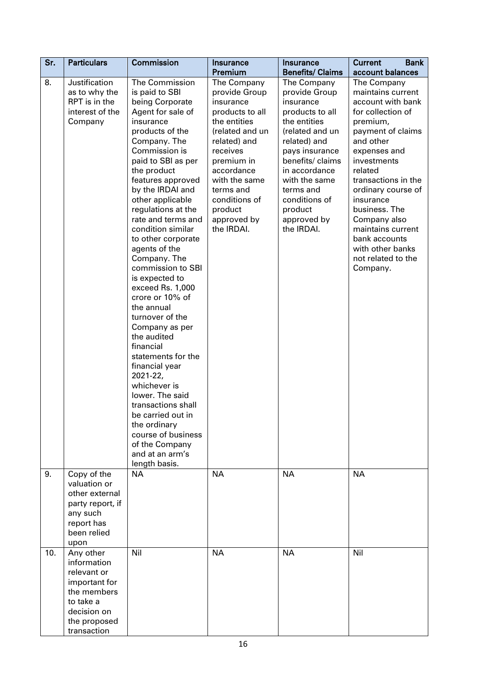| Sr. | <b>Particulars</b>                                                                                                                 | Commission                                                                                                                                                                                                                                                                                                                                                                                                                                                                                                                                                                                                                                                                                                                                                     | Insurance<br>Premium                                                                                                                                                                                                                           | <b>Insurance</b><br><b>Benefits/ Claims</b>                                                                                                                                                                                                                   | <b>Bank</b><br><b>Current</b><br>account balances                                                                                                                                                                                                                                                                                                         |
|-----|------------------------------------------------------------------------------------------------------------------------------------|----------------------------------------------------------------------------------------------------------------------------------------------------------------------------------------------------------------------------------------------------------------------------------------------------------------------------------------------------------------------------------------------------------------------------------------------------------------------------------------------------------------------------------------------------------------------------------------------------------------------------------------------------------------------------------------------------------------------------------------------------------------|------------------------------------------------------------------------------------------------------------------------------------------------------------------------------------------------------------------------------------------------|---------------------------------------------------------------------------------------------------------------------------------------------------------------------------------------------------------------------------------------------------------------|-----------------------------------------------------------------------------------------------------------------------------------------------------------------------------------------------------------------------------------------------------------------------------------------------------------------------------------------------------------|
| 8.  | Justification<br>as to why the<br>RPT is in the<br>interest of the<br>Company                                                      | The Commission<br>is paid to SBI<br>being Corporate<br>Agent for sale of<br>insurance<br>products of the<br>Company. The<br>Commission is<br>paid to SBI as per<br>the product<br>features approved<br>by the IRDAI and<br>other applicable<br>regulations at the<br>rate and terms and<br>condition similar<br>to other corporate<br>agents of the<br>Company. The<br>commission to SBI<br>is expected to<br>exceed Rs. 1,000<br>crore or 10% of<br>the annual<br>turnover of the<br>Company as per<br>the audited<br>financial<br>statements for the<br>financial year<br>2021-22,<br>whichever is<br>lower. The said<br>transactions shall<br>be carried out in<br>the ordinary<br>course of business<br>of the Company<br>and at an arm's<br>length basis. | The Company<br>provide Group<br>insurance<br>products to all<br>the entities<br>(related and un<br>related) and<br>receives<br>premium in<br>accordance<br>with the same<br>terms and<br>conditions of<br>product<br>approved by<br>the IRDAI. | The Company<br>provide Group<br>insurance<br>products to all<br>the entities<br>(related and un<br>related) and<br>pays insurance<br>benefits/ claims<br>in accordance<br>with the same<br>terms and<br>conditions of<br>product<br>approved by<br>the IRDAI. | The Company<br>maintains current<br>account with bank<br>for collection of<br>premium,<br>payment of claims<br>and other<br>expenses and<br>investments<br>related<br>transactions in the<br>ordinary course of<br>insurance<br>business. The<br>Company also<br>maintains current<br>bank accounts<br>with other banks<br>not related to the<br>Company. |
| 9.  | Copy of the<br>valuation or<br>other external<br>party report, if<br>any such<br>report has<br>been relied<br>upon                 | <b>NA</b>                                                                                                                                                                                                                                                                                                                                                                                                                                                                                                                                                                                                                                                                                                                                                      | <b>NA</b>                                                                                                                                                                                                                                      | <b>NA</b>                                                                                                                                                                                                                                                     | <b>NA</b>                                                                                                                                                                                                                                                                                                                                                 |
| 10. | Any other<br>information<br>relevant or<br>important for<br>the members<br>to take a<br>decision on<br>the proposed<br>transaction | Nil                                                                                                                                                                                                                                                                                                                                                                                                                                                                                                                                                                                                                                                                                                                                                            | <b>NA</b>                                                                                                                                                                                                                                      | <b>NA</b>                                                                                                                                                                                                                                                     | Nil                                                                                                                                                                                                                                                                                                                                                       |